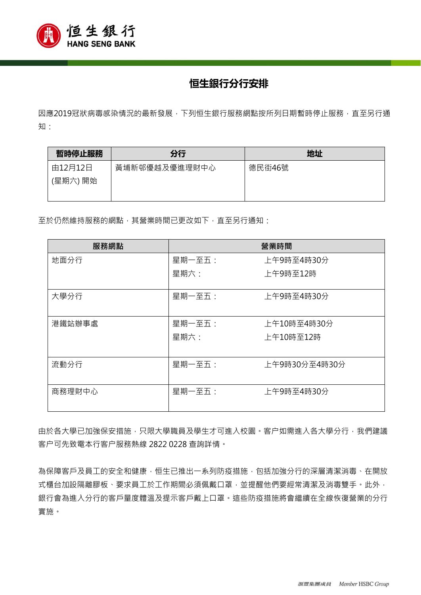

## **恒生銀行分行安排**

因應2019冠狀病毒感染情況的最新發展,下列恒生銀行服務網點按所列日期暫時停止服務,直至另行通 知:

| 暫時停止服務   | 分行            | 地址     |
|----------|---------------|--------|
| 由12月12日  | 黃埔新邨優越及優進理財中心 | 德民街46號 |
| (星期六) 開始 |               |        |
|          |               |        |

至於仍然維持服務的網點,其營業時間已更改如下,直至另行通知:

| 服務網點   | 營業時間   |               |
|--------|--------|---------------|
| 地面分行   | 星期一至五: | 上午9時至4時30分    |
|        | 星期六:   | 上午9時至12時      |
| 大學分行   | 星期一至五: | 上午9時至4時30分    |
| 港鐵站辦事處 | 星期一至五: | 上午10時至4時30分   |
|        | 星期六:   | 上午10時至12時     |
| 流動分行   | 星期一至五: | 上午9時30分至4時30分 |
| 商務理財中心 | 星期一至五: | 上午9時至4時30分    |

由於各大學已加強保安措施,只限大學職員及學生才可進入校園。客户如需進入各大學分行,我們建議 客户可先致電本行客户服務熱線 2822 0228 查詢詳情。

為保障客戶及員工的安全和健康,恒生已推出一系列防疫措施,包括加強分行的深層清潔消毒、在開放 式櫃台加設隔離膠板、要求員工於工作期間必須佩戴口罩,並提醒他們要經常清潔及消毒雙手。此外, 銀行會為進入分行的客戶量度體溫及提示客戶戴上口罩。這些防疫措施將會繼續在全線恢復營業的分行 實施。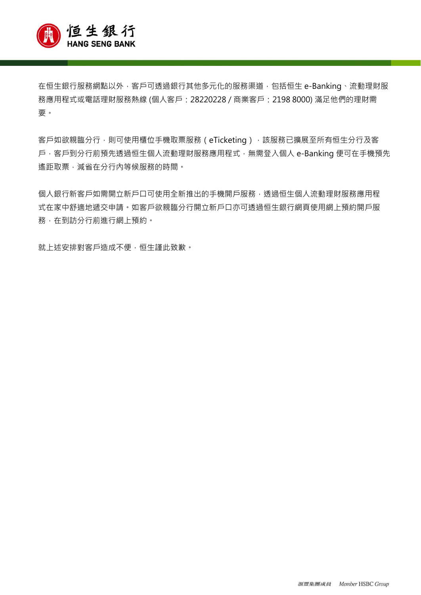

在恒生銀行服務網點以外,客戶可透過銀行其他多元化的服務渠道,包括恒生 e-Banking、流動理財服 務應用程式或電話理財服務熱線 (個人客戶:28220228 / 商業客戶:2198 8000) 滿足他們的理財需 要。

客戶如欲親臨分行,則可使用櫃位手機取票服務 (eTicketing), 該服務已擴展至所有恒生分行及客 戶,客戶到分行前預先透過恒生個人流動理財服務應用程式,無需登入個人 e-Banking 便可在手機預先 遙距取票,減省在分行內等候服務的時間。

個人銀行新客戶如需開立新戶口可使用全新推出的手機開戶服務,透過恒生個人流動理財服務應用程 式在家中舒適地遞交申請。如客戶欲親臨分行開立新戶口亦可透過恒生銀行網頁使用網上預約開戶服 務,在到訪分行前進行網上預約。

就上述安排對客戶造成不便,恒生謹此致歉。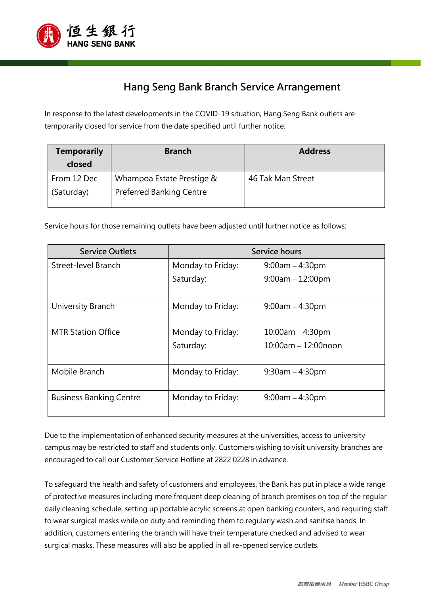

## **Hang Seng Bank Branch Service Arrangement**

In response to the latest developments in the COVID-19 situation, Hang Seng Bank outlets are temporarily closed for service from the date specified until further notice:

| <b>Temporarily</b><br>closed | <b>Branch</b>                   | <b>Address</b>    |
|------------------------------|---------------------------------|-------------------|
| From 12 Dec                  | Whampoa Estate Prestige &       | 46 Tak Man Street |
| (Saturday)                   | <b>Preferred Banking Centre</b> |                   |

Service hours for those remaining outlets have been adjusted until further notice as follows:

| <b>Service Outlets</b>         | Service hours     |                          |  |
|--------------------------------|-------------------|--------------------------|--|
| Street-level Branch            | Monday to Friday: | $9:00am - 4:30pm$        |  |
|                                | Saturday:         | $9:00am - 12:00pm$       |  |
|                                |                   |                          |  |
| University Branch              | Monday to Friday: | $9:00am - 4:30pm$        |  |
|                                |                   |                          |  |
| <b>MTR Station Office</b>      | Monday to Friday: | $10:00$ am $-4:30$ pm    |  |
|                                | Saturday:         | $10:00$ am $-12:00$ noon |  |
|                                |                   |                          |  |
| Mobile Branch                  | Monday to Friday: | $9:30$ am $-4:30$ pm     |  |
|                                |                   |                          |  |
| <b>Business Banking Centre</b> | Monday to Friday: | $9:00am - 4:30pm$        |  |
|                                |                   |                          |  |

Due to the implementation of enhanced security measures at the universities, access to university campus may be restricted to staff and students only. Customers wishing to visit university branches are encouraged to call our Customer Service Hotline at 2822 0228 in advance.

To safeguard the health and safety of customers and employees, the Bank has put in place a wide range of protective measures including more frequent deep cleaning of branch premises on top of the regular daily cleaning schedule, setting up portable acrylic screens at open banking counters, and requiring staff to wear surgical masks while on duty and reminding them to regularly wash and sanitise hands. In addition, customers entering the branch will have their temperature checked and advised to wear surgical masks. These measures will also be applied in all re-opened service outlets.